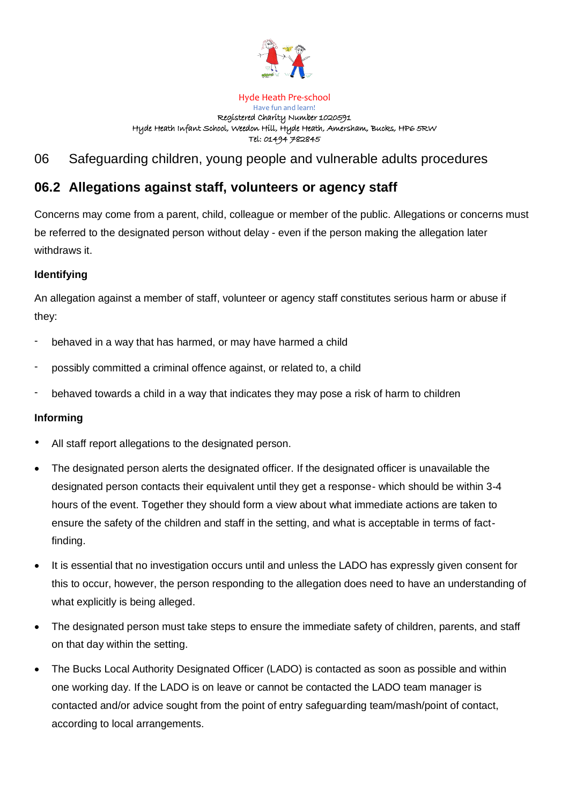

#### Hyde Heath Pre-school Have fun and learn! Registered Charity Number 1020591 Hyde Heath Infant School, Weedon Hill, Hyde Heath, Amersham, Bucks, HP6 5RW Tel: 01494 782845

# 06 Safeguarding children, young people and vulnerable adults procedures

# **06.2 Allegations against staff, volunteers or agency staff**

Concerns may come from a parent, child, colleague or member of the public. Allegations or concerns must be referred to the designated person without delay - even if the person making the allegation later withdraws it.

# **Identifying**

An allegation against a member of staff, volunteer or agency staff constitutes serious harm or abuse if they:

- behaved in a way that has harmed, or may have harmed a child
- possibly committed a criminal offence against, or related to, a child
- behaved towards a child in a way that indicates they may pose a risk of harm to children

# **Informing**

- All staff report allegations to the designated person.
- The designated person alerts the designated officer. If the designated officer is unavailable the designated person contacts their equivalent until they get a response- which should be within 3-4 hours of the event. Together they should form a view about what immediate actions are taken to ensure the safety of the children and staff in the setting, and what is acceptable in terms of factfinding.
- It is essential that no investigation occurs until and unless the LADO has expressly given consent for this to occur, however, the person responding to the allegation does need to have an understanding of what explicitly is being alleged.
- The designated person must take steps to ensure the immediate safety of children, parents, and staff on that day within the setting.
- The Bucks Local Authority Designated Officer (LADO) is contacted as soon as possible and within one working day. If the LADO is on leave or cannot be contacted the LADO team manager is contacted and/or advice sought from the point of entry safeguarding team/mash/point of contact, according to local arrangements.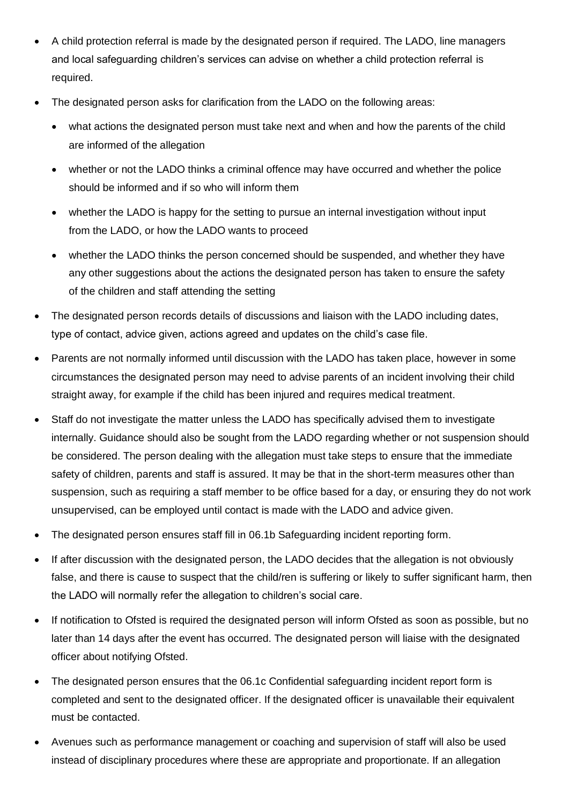- A child protection referral is made by the designated person if required. The LADO, line managers and local safeguarding children's services can advise on whether a child protection referral is required.
- The designated person asks for clarification from the LADO on the following areas:
	- what actions the designated person must take next and when and how the parents of the child are informed of the allegation
	- whether or not the LADO thinks a criminal offence may have occurred and whether the police should be informed and if so who will inform them
	- whether the LADO is happy for the setting to pursue an internal investigation without input from the LADO, or how the LADO wants to proceed
	- whether the LADO thinks the person concerned should be suspended, and whether they have any other suggestions about the actions the designated person has taken to ensure the safety of the children and staff attending the setting
- The designated person records details of discussions and liaison with the LADO including dates, type of contact, advice given, actions agreed and updates on the child's case file.
- Parents are not normally informed until discussion with the LADO has taken place, however in some circumstances the designated person may need to advise parents of an incident involving their child straight away, for example if the child has been injured and requires medical treatment.
- Staff do not investigate the matter unless the LADO has specifically advised them to investigate internally. Guidance should also be sought from the LADO regarding whether or not suspension should be considered. The person dealing with the allegation must take steps to ensure that the immediate safety of children, parents and staff is assured. It may be that in the short-term measures other than suspension, such as requiring a staff member to be office based for a day, or ensuring they do not work unsupervised, can be employed until contact is made with the LADO and advice given.
- The designated person ensures staff fill in 06.1b Safeguarding incident reporting form.
- If after discussion with the designated person, the LADO decides that the allegation is not obviously false, and there is cause to suspect that the child/ren is suffering or likely to suffer significant harm, then the LADO will normally refer the allegation to children's social care.
- If notification to Ofsted is required the designated person will inform Ofsted as soon as possible, but no later than 14 days after the event has occurred. The designated person will liaise with the designated officer about notifying Ofsted.
- The designated person ensures that the 06.1c Confidential safeguarding incident report form is completed and sent to the designated officer. If the designated officer is unavailable their equivalent must be contacted.
- Avenues such as performance management or coaching and supervision of staff will also be used instead of disciplinary procedures where these are appropriate and proportionate. If an allegation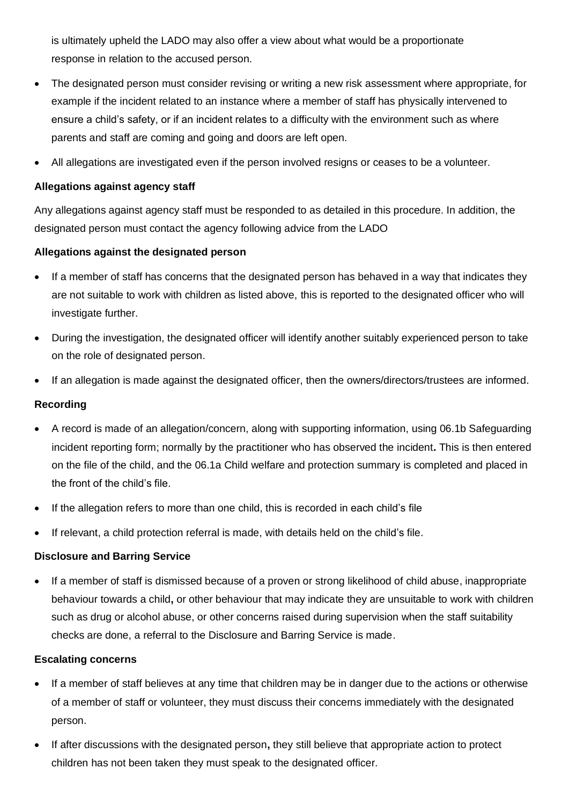is ultimately upheld the LADO may also offer a view about what would be a proportionate response in relation to the accused person.

- The designated person must consider revising or writing a new risk assessment where appropriate, for example if the incident related to an instance where a member of staff has physically intervened to ensure a child's safety, or if an incident relates to a difficulty with the environment such as where parents and staff are coming and going and doors are left open.
- All allegations are investigated even if the person involved resigns or ceases to be a volunteer.

# **Allegations against agency staff**

Any allegations against agency staff must be responded to as detailed in this procedure. In addition, the designated person must contact the agency following advice from the LADO

### **Allegations against the designated person**

- If a member of staff has concerns that the designated person has behaved in a way that indicates they are not suitable to work with children as listed above, this is reported to the designated officer who will investigate further.
- During the investigation, the designated officer will identify another suitably experienced person to take on the role of designated person.
- If an allegation is made against the designated officer, then the owners/directors/trustees are informed.

### **Recording**

- A record is made of an allegation/concern, along with supporting information, using 06.1b Safeguarding incident reporting form; normally by the practitioner who has observed the incident**.** This is then entered on the file of the child, and the 06.1a Child welfare and protection summary is completed and placed in the front of the child's file.
- If the allegation refers to more than one child, this is recorded in each child's file
- If relevant, a child protection referral is made, with details held on the child's file.

#### **Disclosure and Barring Service**

• If a member of staff is dismissed because of a proven or strong likelihood of child abuse, inappropriate behaviour towards a child**,** or other behaviour that may indicate they are unsuitable to work with children such as drug or alcohol abuse, or other concerns raised during supervision when the staff suitability checks are done, a referral to the Disclosure and Barring Service is made.

#### **Escalating concerns**

- If a member of staff believes at any time that children may be in danger due to the actions or otherwise of a member of staff or volunteer, they must discuss their concerns immediately with the designated person.
- If after discussions with the designated person**,** they still believe that appropriate action to protect children has not been taken they must speak to the designated officer.